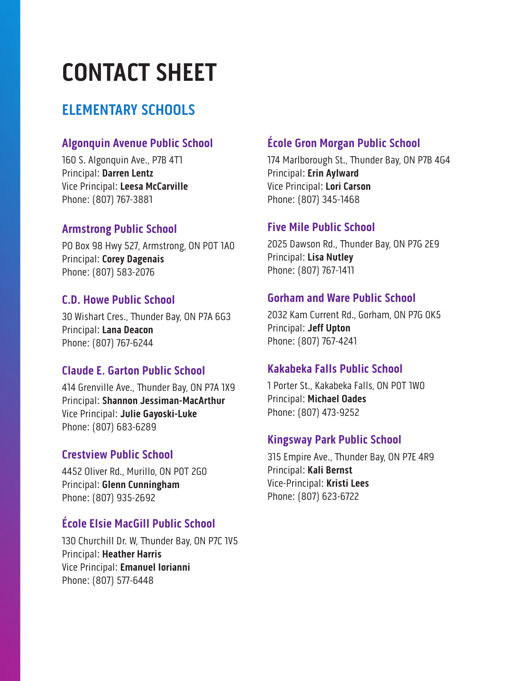# **CONTACT SHEET**

## **ELEMENTARY SCHOOLS**

#### **Algonquin Avenue Public School**

160 S. Algonquin Ave., P7B 4T1 Principal: **Darren Lentz** Vice Principal: **Leesa McCarville** Phone: (807) 767-3881

#### **Armstrong Public School**

PO Box 98 Hwy 527, Armstrong, ON P0T 1A0 Principal: **Corey Dagenais** Phone: (807) 583-2076

#### **C.D. Howe Public School**

30 Wishart Cres., Thunder Bay, ON P7A 6G3 Principal: **Lana Deacon** Phone: (807) 767-6244

#### **Claude E. Garton Public School**

414 Grenville Ave., Thunder Bay, ON P7A 1X9 Principal: **Shannon Jessiman-MacArthur** Vice Principal: **Julie Gayoski-Luke** Phone: (807) 683-6289

#### **Crestview Public School**

4452 Oliver Rd., Murillo, ON P0T 2G0 Principal: **Glenn Cunningham** Phone: (807) 935-2692

#### **École Elsie MacGill Public School**

130 Churchill Dr. W, Thunder Bay, ON P7C 1V5 Principal: **Heather Harris** Vice Principal: **Emanuel Iorianni** Phone: (807) 577-6448

### **École Gron Morgan Public School**

174 Marlborough St., Thunder Bay, ON P7B 4G4 Principal: **Erin Aylward** Vice Principal: **Lori Carson** Phone: (807) 345-1468

#### **Five Mile Public School**

2025 Dawson Rd., Thunder Bay, ON P7G 2E9 Principal: **Lisa Nutley** Phone: (807) 767-1411

#### **Gorham and Ware Public School**

2032 Kam Current Rd., Gorham, ON P7G 0K5 Principal: **Jeff Upton** Phone: (807) 767-4241

#### **Kakabeka Falls Public School**

1 Porter St., Kakabeka Falls, ON P0T 1W0 Principal: **Michael Oades** Phone: (807) 473-9252

#### **Kingsway Park Public School**

315 Empire Ave., Thunder Bay, ON P7E 4R9 Principal: **Kali Bernst** Vice-Principal: **Kristi Lees** Phone: (807) 623-6722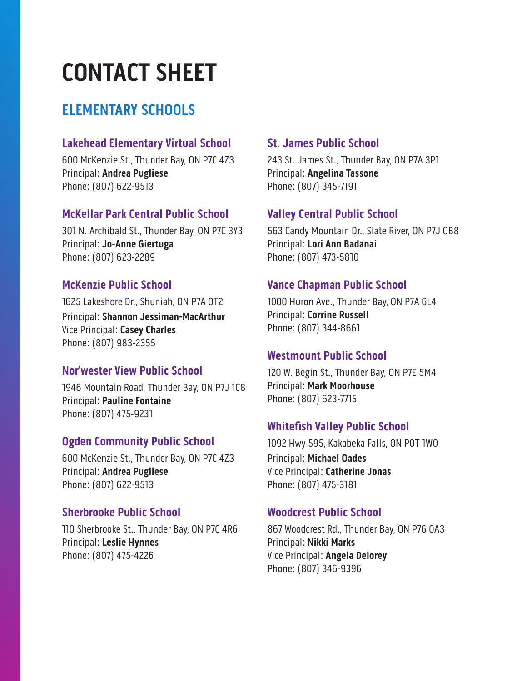# **CONTACT SHEET**

## **ELEMENTARY SCHOOLS**

#### **Lakehead Elementary Virtual School**

600 McKenzie St., Thunder Bay, ON P7C 4Z3 Principal: **Andrea Pugliese** Phone: (807) 622-9513

#### **McKellar Park Central Public School**

301 N. Archibald St., Thunder Bay, ON P7C 3Y3 Principal: **Jo-Anne Giertuga** Phone: (807) 623-2289

#### **McKenzie Public School**

1625 Lakeshore Dr., Shuniah, ON P7A 0T2 Principal: **Shannon Jessiman-MacArthur** Vice Principal: **Casey Charles** Phone: (807) 983-2355

#### **Nor'wester View Public School**

1946 Mountain Road, Thunder Bay, ON P7J 1C8 Principal: **Pauline Fontaine** Phone: (807) 475-9231

#### **Ogden Community Public School**

600 McKenzie St., Thunder Bay, ON P7C 4Z3 Principal: **Andrea Pugliese** Phone: (807) 622-9513

#### **Sherbrooke Public School**

110 Sherbrooke St., Thunder Bay, ON P7C 4R6 Principal: **Leslie Hynnes** Phone: (807) 475-4226

#### **St. James Public School**

243 St. James St., Thunder Bay, ON P7A 3P1 Principal: **Angelina Tassone** Phone: (807) 345-7191

#### **Valley Central Public School**

563 Candy Mountain Dr., Slate River, ON P7J 0B8 Principal: **Lori Ann Badanai** Phone: (807) 473-5810

#### **Vance Chapman Public School**

1000 Huron Ave., Thunder Bay, ON P7A 6L4 Principal: **Corrine Russell** Phone: (807) 344-8661

#### **Westmount Public School**

120 W. Begin St., Thunder Bay, ON P7E 5M4 Principal: **Mark Moorhouse** Phone: (807) 623-7715

#### **Whitefish Valley Public School**

1092 Hwy 595, Kakabeka Falls, ON P0T 1W0 Principal: **Michael Oades** Vice Principal: **Catherine Jonas** Phone: (807) 475-3181

#### **Woodcrest Public School**

867 Woodcrest Rd., Thunder Bay, ON P7G 0A3 Principal: **Nikki Marks** Vice Principal: **Angela Delorey** Phone: (807) 346-9396